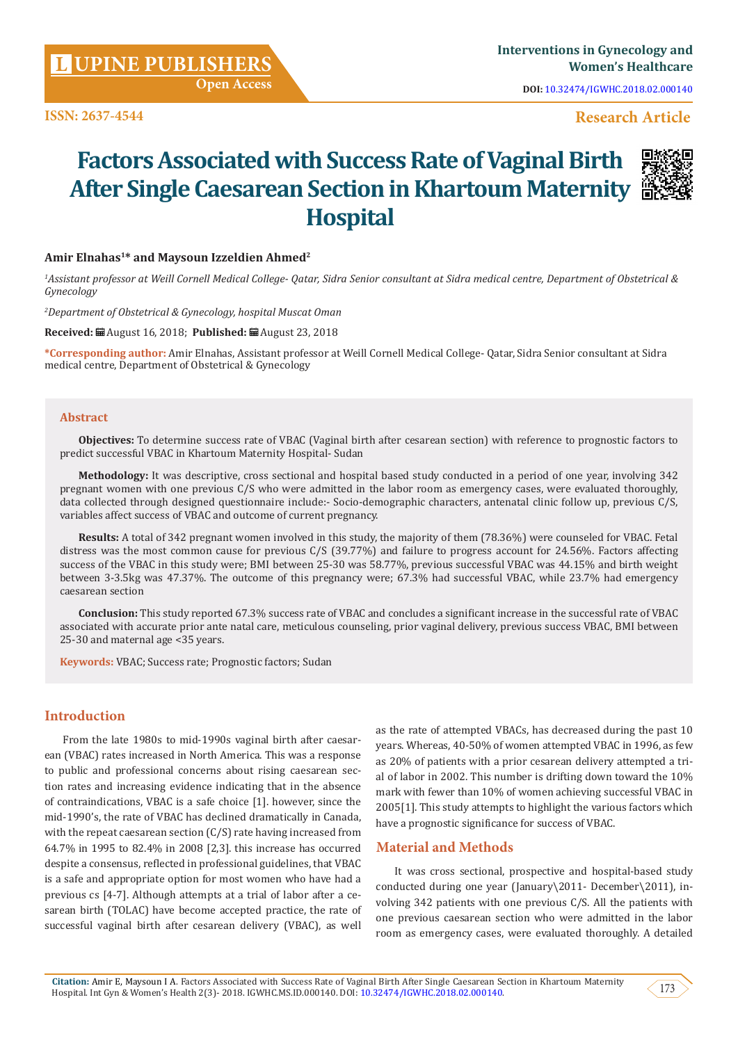**DOI:** [10.32474/IGWHC.2018.02.000140](http://dx.doi.org/10.32474/IGWHC.2018.02.000140)

## **ISSN: 2637-4544** Research Article

# **Factors Associated with Success Rate of Vaginal Birth After Single Caesarean Section in Khartoum Maternity Hospital**



#### **Amir Elnahas1\* and Maysoun Izzeldien Ahmed2**

*1 Assistant professor at Weill Cornell Medical College- Qatar, Sidra Senior consultant at Sidra medical centre, Department of Obstetrical & Gynecology*

*2 Department of Obstetrical & Gynecology, hospital Muscat Oman*

**Received:** August 16, 2018; **Published:** August 23, 2018

**\*Corresponding author:** Amir Elnahas, Assistant professor at Weill Cornell Medical College- Qatar, Sidra Senior consultant at Sidra medical centre, Department of Obstetrical & Gynecology

#### **Abstract**

**Objectives:** To determine success rate of VBAC (Vaginal birth after cesarean section) with reference to prognostic factors to predict successful VBAC in Khartoum Maternity Hospital- Sudan

**Methodology:** It was descriptive, cross sectional and hospital based study conducted in a period of one year, involving 342 pregnant women with one previous C/S who were admitted in the labor room as emergency cases, were evaluated thoroughly, data collected through designed questionnaire include:- Socio-demographic characters, antenatal clinic follow up, previous C/S, variables affect success of VBAC and outcome of current pregnancy.

**Results:** A total of 342 pregnant women involved in this study, the majority of them (78.36%) were counseled for VBAC. Fetal distress was the most common cause for previous C/S (39.77%) and failure to progress account for 24.56%. Factors affecting success of the VBAC in this study were; BMI between 25-30 was 58.77%, previous successful VBAC was 44.15% and birth weight between 3-3.5kg was 47.37%. The outcome of this pregnancy were; 67.3% had successful VBAC, while 23.7% had emergency caesarean section

**Conclusion:** This study reported 67.3% success rate of VBAC and concludes a significant increase in the successful rate of VBAC associated with accurate prior ante natal care, meticulous counseling, prior vaginal delivery, previous success VBAC, BMI between 25-30 and maternal age <35 years.

**Keywords:** VBAC; Success rate; Prognostic factors; Sudan

## **Introduction**

From the late 1980s to mid-1990s vaginal birth after caesarean (VBAC) rates increased in North America. This was a response to public and professional concerns about rising caesarean section rates and increasing evidence indicating that in the absence of contraindications, VBAC is a safe choice [1]. however, since the mid-1990's, the rate of VBAC has declined dramatically in Canada, with the repeat caesarean section (C/S) rate having increased from 64.7% in 1995 to 82.4% in 2008 [2,3]. this increase has occurred despite a consensus, reflected in professional guidelines, that VBAC is a safe and appropriate option for most women who have had a previous cs [4-7]. Although attempts at a trial of labor after a cesarean birth (TOLAC) have become accepted practice, the rate of successful vaginal birth after cesarean delivery (VBAC), as well

as the rate of attempted VBACs, has decreased during the past 10 years. Whereas, 40-50% of women attempted VBAC in 1996, as few as 20% of patients with a prior cesarean delivery attempted a trial of labor in 2002. This number is drifting down toward the 10% mark with fewer than 10% of women achieving successful VBAC in 2005[1]. This study attempts to highlight the various factors which have a prognostic significance for success of VBAC.

#### **Material and Methods**

It was cross sectional, prospective and hospital-based study conducted during one year (January\2011- December\2011), involving 342 patients with one previous C/S. All the patients with one previous caesarean section who were admitted in the labor room as emergency cases, were evaluated thoroughly. A detailed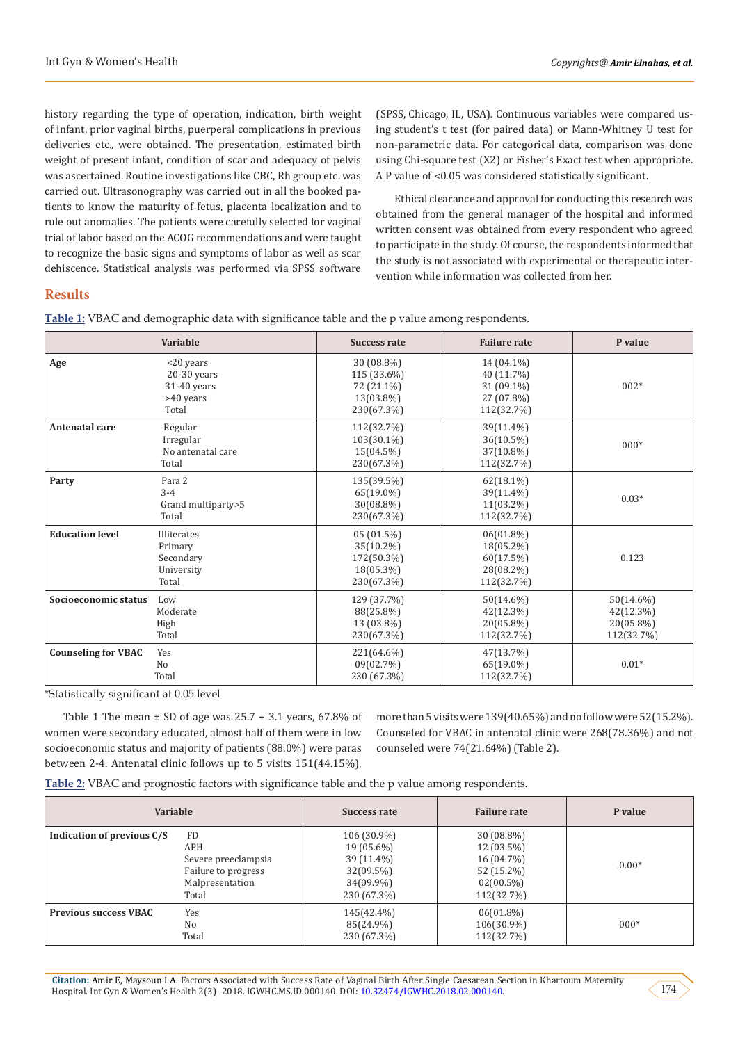history regarding the type of operation, indication, birth weight of infant, prior vaginal births, puerperal complications in previous deliveries etc., were obtained. The presentation, estimated birth weight of present infant, condition of scar and adequacy of pelvis was ascertained. Routine investigations like CBC, Rh group etc. was carried out. Ultrasonography was carried out in all the booked patients to know the maturity of fetus, placenta localization and to rule out anomalies. The patients were carefully selected for vaginal trial of labor based on the ACOG recommendations and were taught to recognize the basic signs and symptoms of labor as well as scar dehiscence. Statistical analysis was performed via SPSS software

(SPSS, Chicago, IL, USA). Continuous variables were compared using student's t test (for paired data) or Mann-Whitney U test for non-parametric data. For categorical data, comparison was done using Chi-square test (X2) or Fisher's Exact test when appropriate. A P value of <0.05 was considered statistically significant.

Ethical clearance and approval for conducting this research was obtained from the general manager of the hospital and informed written consent was obtained from every respondent who agreed to participate in the study. Of course, the respondents informed that the study is not associated with experimental or therapeutic intervention while information was collected from her.

## **Results**

**Table 1:** VBAC and demographic data with significance table and the p value among respondents.

|                            | <b>Variable</b>                                                 | <b>Success rate</b>                                                | <b>Failure rate</b>                                                | P value                                              |
|----------------------------|-----------------------------------------------------------------|--------------------------------------------------------------------|--------------------------------------------------------------------|------------------------------------------------------|
| Age                        | <20 years<br>$20-30$ years<br>31-40 years<br>>40 years<br>Total | 30 (08.8%)<br>115 (33.6%)<br>72 (21.1%)<br>13(03.8%)<br>230(67.3%) | 14 (04.1%)<br>40 (11.7%)<br>31 (09.1%)<br>27 (07.8%)<br>112(32.7%) | $002*$                                               |
| <b>Antenatal care</b>      | Regular<br>Irregular<br>No antenatal care<br>Total              | 112(32.7%)<br>103(30.1%)<br>15(04.5%)<br>230(67.3%)                | 39(11.4%)<br>36(10.5%)<br>37(10.8%)<br>112(32.7%)                  | $000*$                                               |
| Party                      | Para 2<br>$3 - 4$<br>Grand multiparty>5<br>Total                | 135(39.5%)<br>65(19.0%)<br>30(08.8%)<br>230(67.3%)                 | $62(18.1\%)$<br>39(11.4%)<br>11(03.2%)<br>112(32.7%)               | $0.03*$                                              |
| <b>Education level</b>     | Illiterates<br>Primary<br>Secondary<br>University<br>Total      | $05(01.5\%)$<br>35(10.2%)<br>172(50.3%)<br>18(05.3%)<br>230(67.3%) | $06(01.8\%)$<br>18(05.2%)<br>60(17.5%)<br>28(08.2%)<br>112(32.7%)  | 0.123                                                |
| Socioeconomic status       | Low<br>Moderate<br>High<br>Total                                | 129 (37.7%)<br>88(25.8%)<br>13 (03.8%)<br>230(67.3%)               | 50(14.6%)<br>42(12.3%)<br>20(05.8%)<br>112(32.7%)                  | $50(14.6\%)$<br>42(12.3%)<br>20(05.8%)<br>112(32.7%) |
| <b>Counseling for VBAC</b> | Yes<br>N <sub>0</sub><br>Total                                  | 221(64.6%)<br>09(02.7%)<br>230 (67.3%)                             | 47(13.7%)<br>65(19.0%)<br>112(32.7%)                               | $0.01*$                                              |

\*Statistically significant at 0.05 level

Table 1 The mean  $\pm$  SD of age was 25.7 + 3.1 years, 67.8% of women were secondary educated, almost half of them were in low socioeconomic status and majority of patients (88.0%) were paras between 2-4. Antenatal clinic follows up to 5 visits 151(44.15%),

more than 5 visits were 139(40.65%) and no follow were 52(15.2%). Counseled for VBAC in antenatal clinic were 268(78.36%) and not counseled were 74(21.64%) (Table 2).

| Table 2: VBAC and prognostic factors with significance table and the p value among respondents. |  |  |  |
|-------------------------------------------------------------------------------------------------|--|--|--|
|                                                                                                 |  |  |  |

| Variable                     |                                                                                            | Success rate                                                                     | <b>Failure rate</b>                                                                    | P value  |
|------------------------------|--------------------------------------------------------------------------------------------|----------------------------------------------------------------------------------|----------------------------------------------------------------------------------------|----------|
| Indication of previous C/S   | <b>FD</b><br>APH<br>Severe preeclampsia<br>Failure to progress<br>Malpresentation<br>Total | 106 (30.9%)<br>19 (05.6%)<br>39 (11.4%)<br>32(09.5%)<br>34(09.9%)<br>230 (67.3%) | $30(08.8\%)$<br>$12(03.5\%)$<br>16 (04.7%)<br>52 (15.2%)<br>$02(00.5\%)$<br>112(32.7%) | $.0.00*$ |
| <b>Previous success VBAC</b> | Yes<br>N <sub>0</sub><br>Total                                                             | 145(42.4%)<br>85(24.9%)<br>230 (67.3%)                                           | $06(01.8\%)$<br>106(30.9%)<br>112(32.7%)                                               | $000*$   |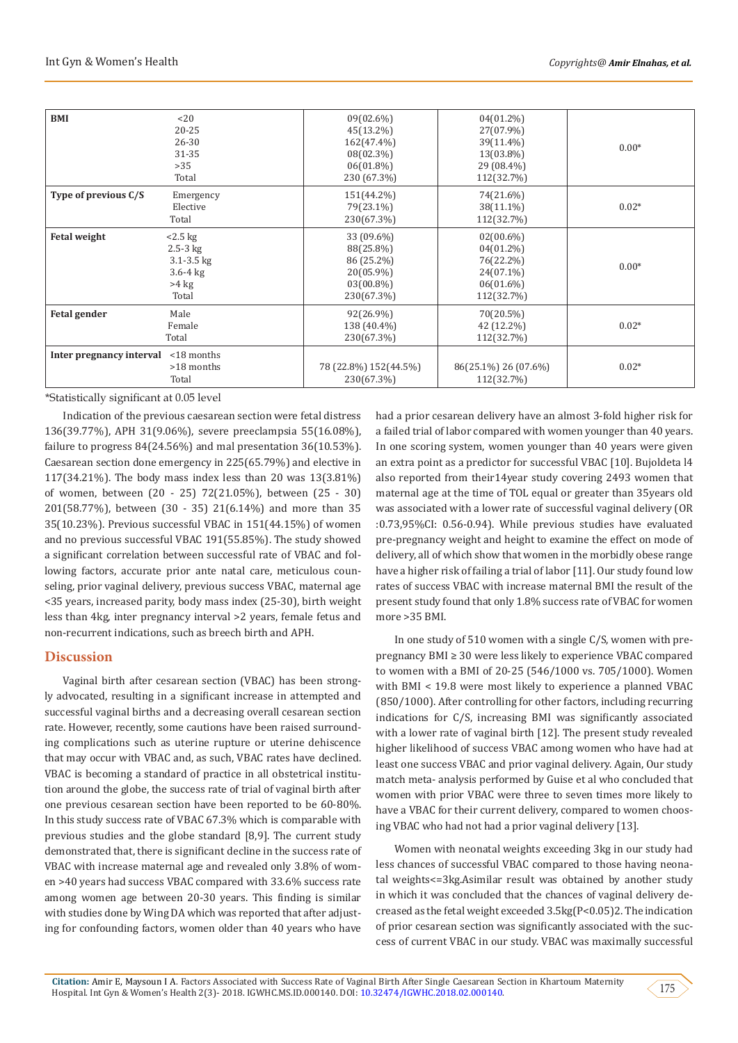| <b>BMI</b>               | <20<br>$20 - 25$<br>$26 - 30$<br>31-35<br>>35<br>Total                        | $09(02.6\%)$<br>45(13.2%)<br>162(47.4%)<br>08(02.3%)<br>$06(01.8\%)$<br>230 (67.3%) | $04(01.2\%)$<br>27(07.9%)<br>39(11.4%)<br>13(03.8%)<br>29 (08.4%)<br>112(32.7%)   | $0.00*$ |
|--------------------------|-------------------------------------------------------------------------------|-------------------------------------------------------------------------------------|-----------------------------------------------------------------------------------|---------|
| Type of previous C/S     | Emergency<br>Elective<br>Total                                                | 151(44.2%)<br>79(23.1%)<br>230(67.3%)                                               | 74(21.6%)<br>$38(11.1\%)$<br>112(32.7%)                                           | $0.02*$ |
| <b>Fetal weight</b>      | $<2.5$ kg<br>$2.5-3$ kg<br>$3.1 - 3.5$ kg<br>$3.6 - 4$ kg<br>$>4$ kg<br>Total | 33 (09.6%)<br>88(25.8%)<br>86 (25.2%)<br>20(05.9%)<br>$03(00.8\%)$<br>230(67.3%)    | $02(00.6\%)$<br>04(01.2%)<br>76(22.2%)<br>24(07.1%)<br>$06(01.6\%)$<br>112(32.7%) | $0.00*$ |
| <b>Fetal gender</b>      | Male<br>Female<br>Total                                                       | 92(26.9%)<br>138 (40.4%)<br>230(67.3%)                                              | 70(20.5%)<br>42 (12.2%)<br>112(32.7%)                                             | $0.02*$ |
| Inter pregnancy interval | $<$ 18 months<br>>18 months<br>Total                                          | 78 (22.8%) 152 (44.5%)<br>230(67.3%)                                                | 86(25.1%) 26 (07.6%)<br>112(32.7%)                                                | $0.02*$ |

\*Statistically significant at 0.05 level

Indication of the previous caesarean section were fetal distress 136(39.77%), APH 31(9.06%), severe preeclampsia 55(16.08%), failure to progress 84(24.56%) and mal presentation 36(10.53%). Caesarean section done emergency in 225(65.79%) and elective in 117(34.21%). The body mass index less than 20 was 13(3.81%) of women, between (20 - 25) 72(21.05%), between (25 - 30) 201(58.77%), between (30 - 35) 21(6.14%) and more than 35 35(10.23%). Previous successful VBAC in 151(44.15%) of women and no previous successful VBAC 191(55.85%). The study showed a significant correlation between successful rate of VBAC and following factors, accurate prior ante natal care, meticulous counseling, prior vaginal delivery, previous success VBAC, maternal age <35 years, increased parity, body mass index (25-30), birth weight less than 4kg, inter pregnancy interval >2 years, female fetus and non-recurrent indications, such as breech birth and APH.

## **Discussion**

Vaginal birth after cesarean section (VBAC) has been strongly advocated, resulting in a significant increase in attempted and successful vaginal births and a decreasing overall cesarean section rate. However, recently, some cautions have been raised surrounding complications such as uterine rupture or uterine dehiscence that may occur with VBAC and, as such, VBAC rates have declined. VBAC is becoming a standard of practice in all obstetrical institution around the globe, the success rate of trial of vaginal birth after one previous cesarean section have been reported to be 60-80%. In this study success rate of VBAC 67.3% which is comparable with previous studies and the globe standard [8,9]. The current study demonstrated that, there is significant decline in the success rate of VBAC with increase maternal age and revealed only 3.8% of women >40 years had success VBAC compared with 33.6% success rate among women age between 20-30 years. This finding is similar with studies done by Wing DA which was reported that after adjusting for confounding factors, women older than 40 years who have

had a prior cesarean delivery have an almost 3-fold higher risk for a failed trial of labor compared with women younger than 40 years. In one scoring system, women younger than 40 years were given an extra point as a predictor for successful VBAC [10]. Bujoldeta l4 also reported from their14year study covering 2493 women that maternal age at the time of TOL equal or greater than 35years old was associated with a lower rate of successful vaginal delivery (OR :0.73,95%CI: 0.56-0.94). While previous studies have evaluated pre-pregnancy weight and height to examine the effect on mode of delivery, all of which show that women in the morbidly obese range have a higher risk of failing a trial of labor [11]. Our study found low rates of success VBAC with increase maternal BMI the result of the present study found that only 1.8% success rate of VBAC for women more >35 BMI.

In one study of 510 women with a single C/S, women with prepregnancy BMI ≥ 30 were less likely to experience VBAC compared to women with a BMI of 20-25 (546/1000 vs. 705/1000). Women with BMI < 19.8 were most likely to experience a planned VBAC (850/1000). After controlling for other factors, including recurring indications for C/S, increasing BMI was significantly associated with a lower rate of vaginal birth [12]. The present study revealed higher likelihood of success VBAC among women who have had at least one success VBAC and prior vaginal delivery. Again, Our study match meta- analysis performed by Guise et al who concluded that women with prior VBAC were three to seven times more likely to have a VBAC for their current delivery, compared to women choosing VBAC who had not had a prior vaginal delivery [13].

Women with neonatal weights exceeding 3kg in our study had less chances of successful VBAC compared to those having neonatal weights<=3kg.Asimilar result was obtained by another study in which it was concluded that the chances of vaginal delivery decreased as the fetal weight exceeded 3.5kg(P<0.05)2. The indication of prior cesarean section was significantly associated with the success of current VBAC in our study. VBAC was maximally successful